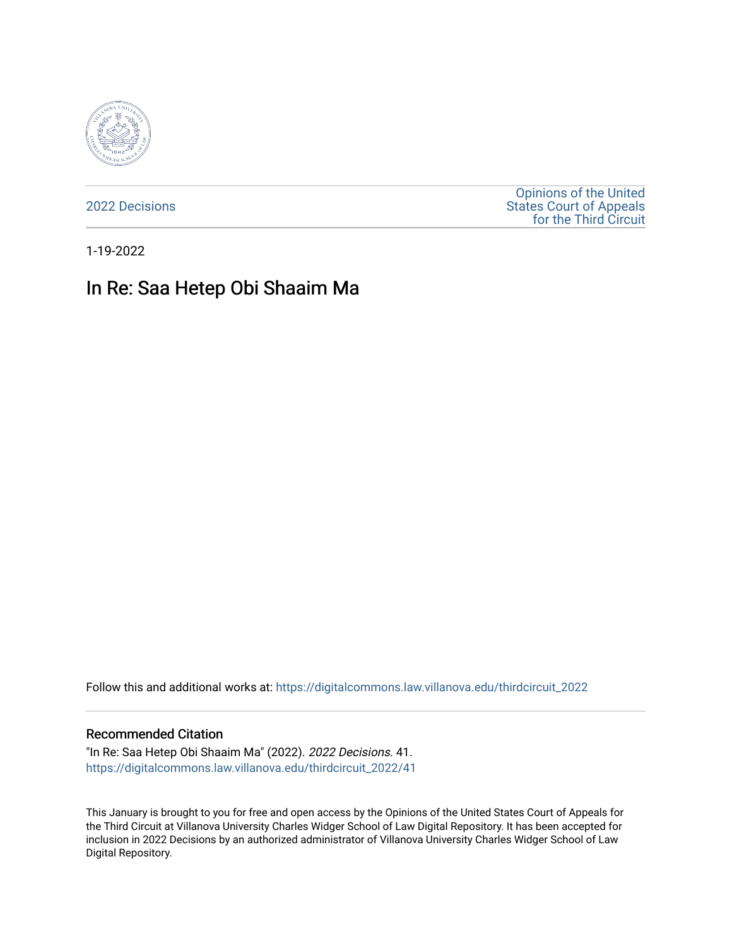

[2022 Decisions](https://digitalcommons.law.villanova.edu/thirdcircuit_2022)

[Opinions of the United](https://digitalcommons.law.villanova.edu/thirdcircuit)  [States Court of Appeals](https://digitalcommons.law.villanova.edu/thirdcircuit)  [for the Third Circuit](https://digitalcommons.law.villanova.edu/thirdcircuit) 

1-19-2022

## In Re: Saa Hetep Obi Shaaim Ma

Follow this and additional works at: [https://digitalcommons.law.villanova.edu/thirdcircuit\\_2022](https://digitalcommons.law.villanova.edu/thirdcircuit_2022?utm_source=digitalcommons.law.villanova.edu%2Fthirdcircuit_2022%2F41&utm_medium=PDF&utm_campaign=PDFCoverPages) 

## Recommended Citation

"In Re: Saa Hetep Obi Shaaim Ma" (2022). 2022 Decisions. 41. [https://digitalcommons.law.villanova.edu/thirdcircuit\\_2022/41](https://digitalcommons.law.villanova.edu/thirdcircuit_2022/41?utm_source=digitalcommons.law.villanova.edu%2Fthirdcircuit_2022%2F41&utm_medium=PDF&utm_campaign=PDFCoverPages)

This January is brought to you for free and open access by the Opinions of the United States Court of Appeals for the Third Circuit at Villanova University Charles Widger School of Law Digital Repository. It has been accepted for inclusion in 2022 Decisions by an authorized administrator of Villanova University Charles Widger School of Law Digital Repository.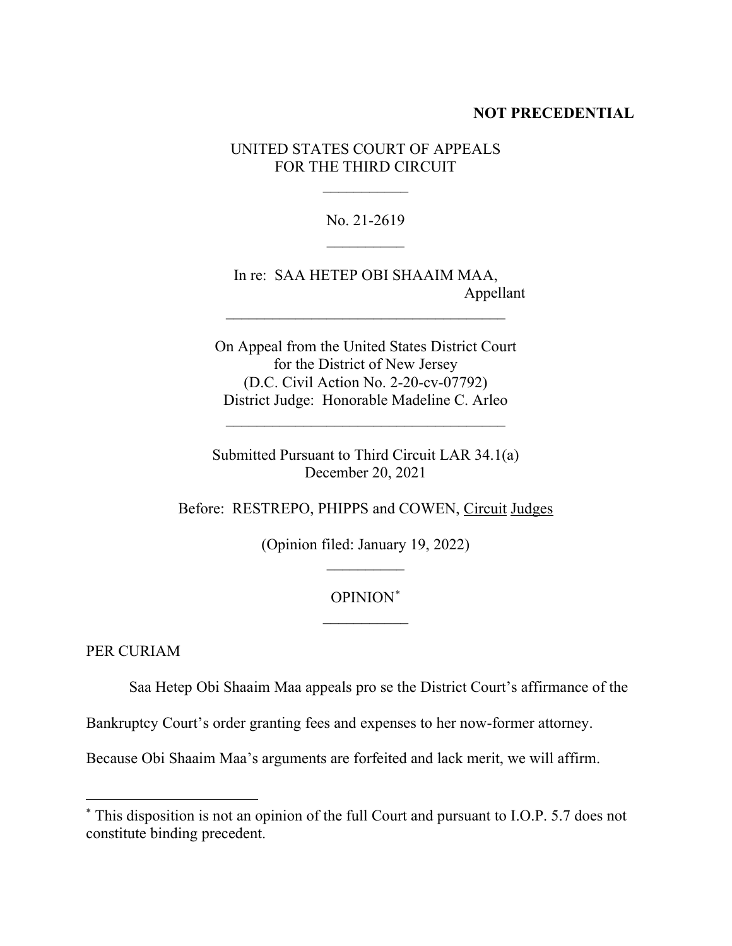## **NOT PRECEDENTIAL**

UNITED STATES COURT OF APPEALS FOR THE THIRD CIRCUIT

 $\frac{1}{2}$ 

No. 21-2619  $\frac{1}{2}$ 

In re: SAA HETEP OBI SHAAIM MAA, Appellant

On Appeal from the United States District Court for the District of New Jersey (D.C. Civil Action No. 2-20-cv-07792) District Judge: Honorable Madeline C. Arleo

 $\mathcal{L}_\text{max}$  and  $\mathcal{L}_\text{max}$  and  $\mathcal{L}_\text{max}$  and  $\mathcal{L}_\text{max}$ 

 $\mathcal{L}_\text{max}$  , where  $\mathcal{L}_\text{max}$  is the set of the set of the set of the set of the set of the set of the set of the set of the set of the set of the set of the set of the set of the set of the set of the set of the se

Submitted Pursuant to Third Circuit LAR 34.1(a) December 20, 2021

Before: RESTREPO, PHIPPS and COWEN, Circuit Judges

(Opinion filed: January 19, 2022)  $\frac{1}{2}$ 

## OPINION\*  $\frac{1}{2}$

PER CURIAM

Saa Hetep Obi Shaaim Maa appeals pro se the District Court's affirmance of the

Bankruptcy Court's order granting fees and expenses to her now-former attorney.

Because Obi Shaaim Maa's arguments are forfeited and lack merit, we will affirm.

<sup>\*</sup> This disposition is not an opinion of the full Court and pursuant to I.O.P. 5.7 does not constitute binding precedent.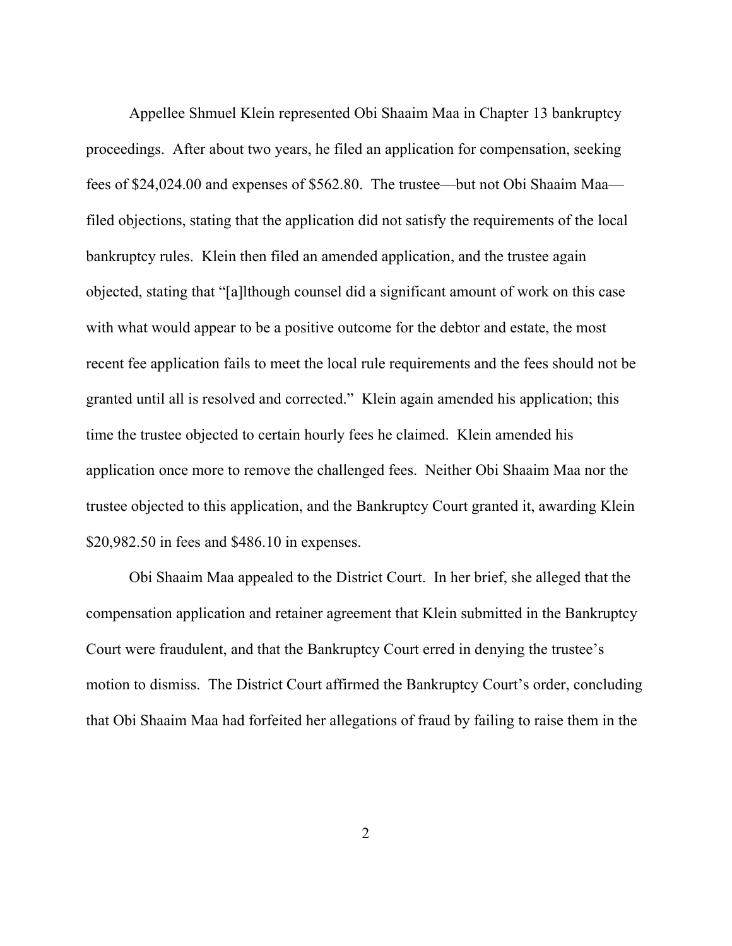Appellee Shmuel Klein represented Obi Shaaim Maa in Chapter 13 bankruptcy proceedings. After about two years, he filed an application for compensation, seeking fees of \$24,024.00 and expenses of \$562.80. The trustee—but not Obi Shaaim Maa filed objections, stating that the application did not satisfy the requirements of the local bankruptcy rules. Klein then filed an amended application, and the trustee again objected, stating that "[a]lthough counsel did a significant amount of work on this case with what would appear to be a positive outcome for the debtor and estate, the most recent fee application fails to meet the local rule requirements and the fees should not be granted until all is resolved and corrected." Klein again amended his application; this time the trustee objected to certain hourly fees he claimed. Klein amended his application once more to remove the challenged fees. Neither Obi Shaaim Maa nor the trustee objected to this application, and the Bankruptcy Court granted it, awarding Klein \$20,982.50 in fees and \$486.10 in expenses.

Obi Shaaim Maa appealed to the District Court. In her brief, she alleged that the compensation application and retainer agreement that Klein submitted in the Bankruptcy Court were fraudulent, and that the Bankruptcy Court erred in denying the trustee's motion to dismiss. The District Court affirmed the Bankruptcy Court's order, concluding that Obi Shaaim Maa had forfeited her allegations of fraud by failing to raise them in the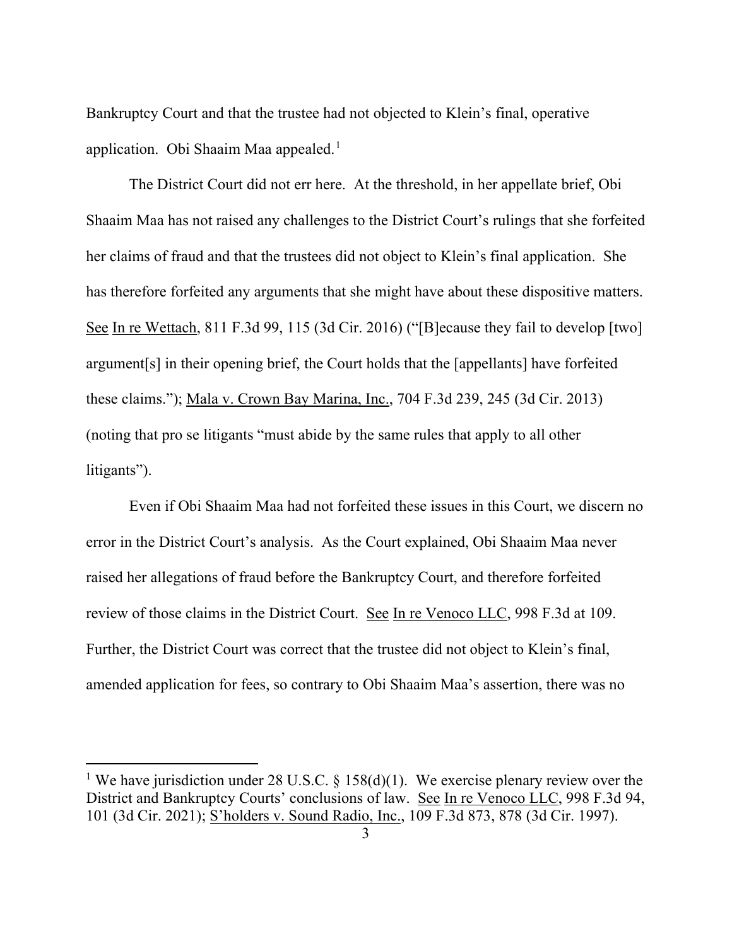Bankruptcy Court and that the trustee had not objected to Klein's final, operative application. Obi Shaaim Maa appealed.<sup>1</sup>

The District Court did not err here. At the threshold, in her appellate brief, Obi Shaaim Maa has not raised any challenges to the District Court's rulings that she forfeited her claims of fraud and that the trustees did not object to Klein's final application. She has therefore forfeited any arguments that she might have about these dispositive matters. See In re Wettach, 811 F.3d 99, 115 (3d Cir. 2016) ("[B]ecause they fail to develop [two] argument[s] in their opening brief, the Court holds that the [appellants] have forfeited these claims."); Mala v. Crown Bay Marina, Inc., 704 F.3d 239, 245 (3d Cir. 2013) (noting that pro se litigants "must abide by the same rules that apply to all other litigants").

Even if Obi Shaaim Maa had not forfeited these issues in this Court, we discern no error in the District Court's analysis. As the Court explained, Obi Shaaim Maa never raised her allegations of fraud before the Bankruptcy Court, and therefore forfeited review of those claims in the District Court. See In re Venoco LLC, 998 F.3d at 109. Further, the District Court was correct that the trustee did not object to Klein's final, amended application for fees, so contrary to Obi Shaaim Maa's assertion, there was no

<sup>&</sup>lt;sup>1</sup> We have jurisdiction under 28 U.S.C. § 158(d)(1). We exercise plenary review over the District and Bankruptcy Courts' conclusions of law. See In re Venoco LLC, 998 F.3d 94, 101 (3d Cir. 2021); S'holders v. Sound Radio, Inc., 109 F.3d 873, 878 (3d Cir. 1997).